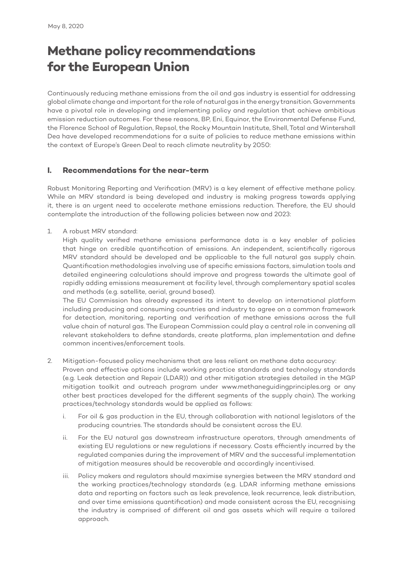## **Methane policy recommendations for the European Union**

Continuously reducing methane emissions from the oil and gas industry is essential for addressing global climate change and important for the role of natural gas in the energy transition. Governments have a pivotal role in developing and implementing policy and regulation that achieve ambitious emission reduction outcomes. For these reasons, BP, Eni, Equinor, the Environmental Defense Fund, the Florence School of Regulation, Repsol, the Rocky Mountain Institute, Shell, Total and Wintershall Dea have developed recommendations for a suite of policies to reduce methane emissions within the context of Europe's Green Deal to reach climate neutrality by 2050:

## **I. Recommendations for the near-term**

Robust Monitoring Reporting and Verification (MRV) is a key element of effective methane policy. While an MRV standard is being developed and industry is making progress towards applying it, there is an urgent need to accelerate methane emissions reduction. Therefore, the EU should contemplate the introduction of the following policies between now and 2023:

1. A robust MRV standard:

 High quality verified methane emissions performance data is a key enabler of policies that hinge on credible quantification of emissions. An independent, scientifically rigorous MRV standard should be developed and be applicable to the full natural gas supply chain. Quantification methodologies involving use of specific emissions factors, simulation tools and detailed engineering calculations should improve and progress towards the ultimate goal of rapidly adding emissions measurement at facility level, through complementary spatial scales and methods (e.g. satellite, aerial, ground based).

 The EU Commission has already expressed its intent to develop an international platform including producing and consuming countries and industry to agree on a common framework for detection, monitoring, reporting and verification of methane emissions across the full value chain of natural gas. The European Commission could play a central role in convening all relevant stakeholders to define standards, create platforms, plan implementation and define common incentives/enforcement tools.

- 2. Mitigation-focused policy mechanisms that are less reliant on methane data accuracy: Proven and effective options include working practice standards and technology standards (e.g. Leak detection and Repair (LDAR)) and other mitigation strategies detailed in the MGP mitigation toolkit and outreach program under www.methaneguidingprinciples.org or any other best practices developed for the different segments of the supply chain). The working practices/technology standards would be applied as follows:
	- i. For oil & gas production in the EU, through collaboration with national legislators of the producing countries. The standards should be consistent across the EU.
	- ii. For the EU natural gas downstream infrastructure operators, through amendments of existing EU regulations or new regulations if necessary. Costs efficiently incurred by the regulated companies during the improvement of MRV and the successful implementation of mitigation measures should be recoverable and accordingly incentivised.
	- iii. Policy makers and regulators should maximise synergies between the MRV standard and the working practices/technology standards (e.g. LDAR informing methane emissions data and reporting on factors such as leak prevalence, leak recurrence, leak distribution, and over time emissions quantification) and made consistent across the EU, recognising the industry is comprised of different oil and gas assets which will require a tailored approach.